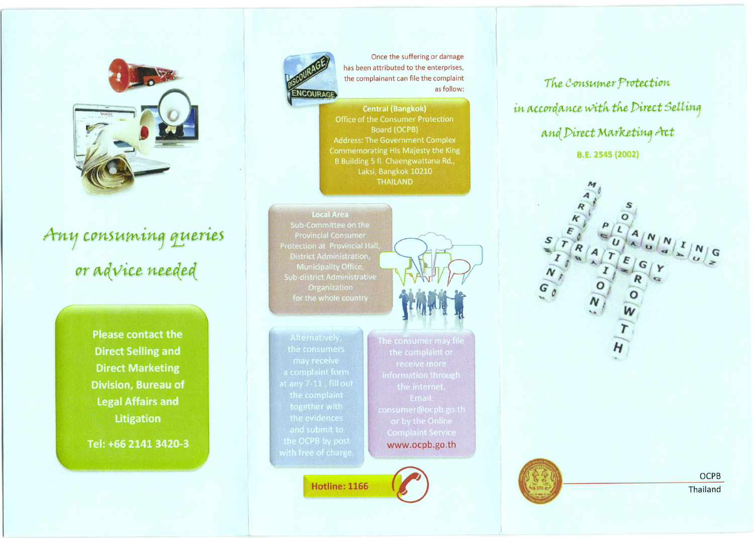

## Any consuming queries or advice needed

**Please contact the Direct Selling and Direct Marketing Division, Bureau of Legal Affairs and Litigation** 

Tel: +66 2141 3420-3



Once the suffering or damage has been attributed to the enterprises, the complainant can file the complaint as follow:

**Central (Bangkok)** Office of the Consumer Protection Board (OCPB) **Address: The Government Complex** Commemorating His Majesty the King B Building 5 fl. Chaengwattana Rd., Laksi, Bangkok 10210 **THAILAND** 

**Local Area Provincial Consumer Protection at Provincial Hall District Administration. Sub-district Administrative** 



**Hotline: 1166** 

www.ocpb.go.th

The Consumer Protection in accordance with the Direct Selling and Direct Marketing Act **B.E. 2545 (2002)** 



**OCPB** Thailand